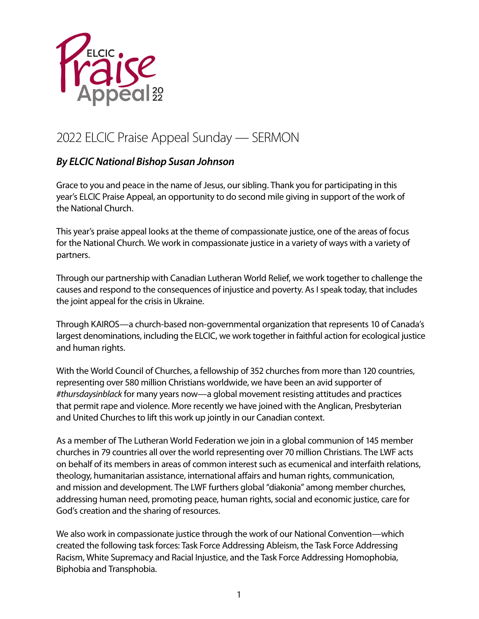

## 2022 ELCIC Praise Appeal Sunday — SERMON

## *By ELCIC National Bishop Susan Johnson*

Grace to you and peace in the name of Jesus, our sibling. Thank you for participating in this year's ELCIC Praise Appeal, an opportunity to do second mile giving in support of the work of the National Church.

This year's praise appeal looks at the theme of compassionate justice, one of the areas of focus for the National Church. We work in compassionate justice in a variety of ways with a variety of partners.

Through our partnership with Canadian Lutheran World Relief, we work together to challenge the causes and respond to the consequences of injustice and poverty. As I speak today, that includes the joint appeal for the crisis in Ukraine.

Through KAIROS—a church-based non-governmental organization that represents 10 of Canada's largest denominations, including the ELCIC, we work together in faithful action for ecological justice and human rights.

With the World Council of Churches, a fellowship of 352 churches from more than 120 countries, representing over 580 million Christians worldwide, we have been an avid supporter of *#thursdaysinblack* for many years now—a global movement resisting attitudes and practices that permit rape and violence. More recently we have joined with the Anglican, Presbyterian and United Churches to lift this work up jointly in our Canadian context.

As a member of The Lutheran World Federation we join in a global communion of 145 member churches in 79 countries all over the world representing over 70 million Christians. The LWF acts on behalf of its members in areas of common interest such as ecumenical and interfaith relations, theology, humanitarian assistance, international affairs and human rights, communication, and mission and development. The LWF furthers global "diakonia" among member churches, addressing human need, promoting peace, human rights, social and economic justice, care for God's creation and the sharing of resources.

We also work in compassionate justice through the work of our National Convention—which created the following task forces: Task Force Addressing Ableism, the Task Force Addressing Racism, White Supremacy and Racial Injustice, and the Task Force Addressing Homophobia, Biphobia and Transphobia.